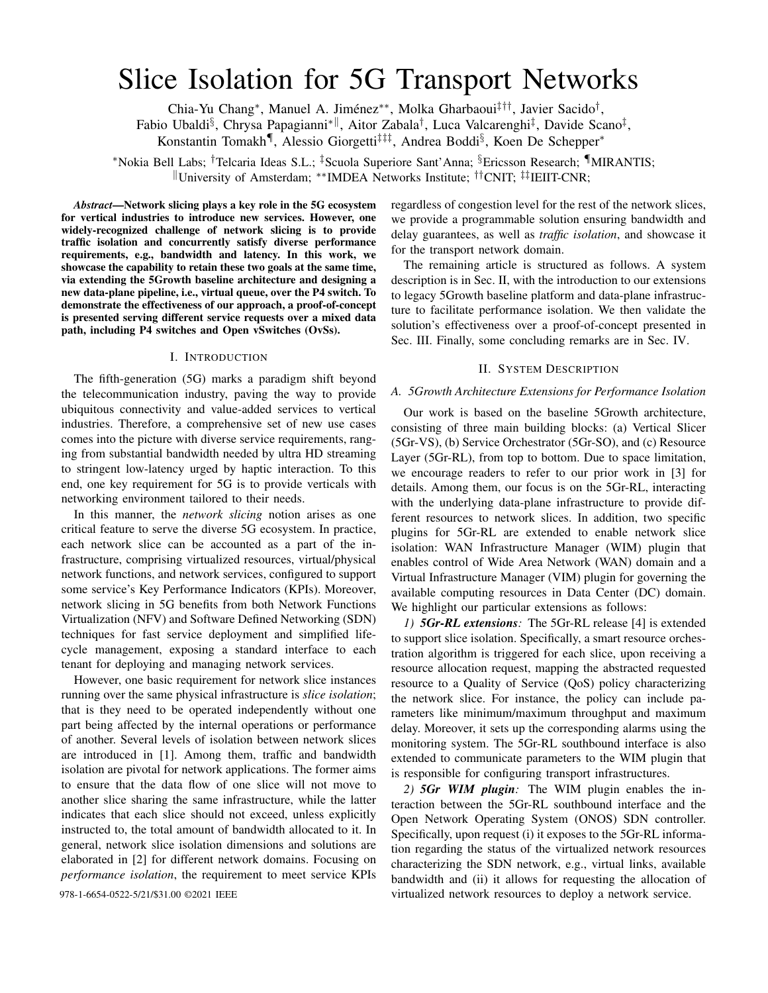# Slice Isolation for 5G Transport Networks

Chia-Yu Chang<sup>∗</sup>, Manuel A. Jiménez<sup>∗∗</sup>, Molka Gharbaoui<sup>‡††</sup>, Javier Sacido<sup>†</sup>,

Fabio Ubaldi§, Chrysa Papagianni\*<sup>||</sup>, Aitor Zabala<sup>†</sup>, Luca Valcarenghi<sup>‡</sup>, Davide Scano<sup>‡</sup>,

Konstantin Tomakh<sup>¶</sup>, Alessio Giorgetti<sup>‡‡‡</sup>, Andrea Boddi<sup>§</sup>, Koen De Schepper<sup>\*</sup>

<sup>∗</sup>Nokia Bell Labs; †Telcaria Ideas S.L.; ‡Scuola Superiore Sant'Anna; §Ericsson Research; ¶MIRANTIS; <sup>k</sup>University of Amsterdam; ∗∗IMDEA Networks Institute; ††CNIT; ‡‡IEIIT-CNR;

*Abstract*—Network slicing plays a key role in the 5G ecosystem for vertical industries to introduce new services. However, one widely-recognized challenge of network slicing is to provide traffic isolation and concurrently satisfy diverse performance requirements, e.g., bandwidth and latency. In this work, we showcase the capability to retain these two goals at the same time, via extending the 5Growth baseline architecture and designing a new data-plane pipeline, i.e., virtual queue, over the P4 switch. To demonstrate the effectiveness of our approach, a proof-of-concept is presented serving different service requests over a mixed data path, including P4 switches and Open vSwitches (OvSs).

## I. INTRODUCTION

The fifth-generation (5G) marks a paradigm shift beyond the telecommunication industry, paving the way to provide ubiquitous connectivity and value-added services to vertical industries. Therefore, a comprehensive set of new use cases comes into the picture with diverse service requirements, ranging from substantial bandwidth needed by ultra HD streaming to stringent low-latency urged by haptic interaction. To this end, one key requirement for 5G is to provide verticals with networking environment tailored to their needs.

In this manner, the *network slicing* notion arises as one critical feature to serve the diverse 5G ecosystem. In practice, each network slice can be accounted as a part of the infrastructure, comprising virtualized resources, virtual/physical network functions, and network services, configured to support some service's Key Performance Indicators (KPIs). Moreover, network slicing in 5G benefits from both Network Functions Virtualization (NFV) and Software Defined Networking (SDN) techniques for fast service deployment and simplified lifecycle management, exposing a standard interface to each tenant for deploying and managing network services.

However, one basic requirement for network slice instances running over the same physical infrastructure is *slice isolation*; that is they need to be operated independently without one part being affected by the internal operations or performance of another. Several levels of isolation between network slices are introduced in [1]. Among them, traffic and bandwidth isolation are pivotal for network applications. The former aims to ensure that the data flow of one slice will not move to another slice sharing the same infrastructure, while the latter indicates that each slice should not exceed, unless explicitly instructed to, the total amount of bandwidth allocated to it. In general, network slice isolation dimensions and solutions are elaborated in [2] for different network domains. Focusing on *performance isolation*, the requirement to meet service KPIs

regardless of congestion level for the rest of the network slices, we provide a programmable solution ensuring bandwidth and delay guarantees, as well as *traffic isolation*, and showcase it for the transport network domain.

The remaining article is structured as follows. A system description is in Sec. II, with the introduction to our extensions to legacy 5Growth baseline platform and data-plane infrastructure to facilitate performance isolation. We then validate the solution's effectiveness over a proof-of-concept presented in Sec. III. Finally, some concluding remarks are in Sec. IV.

#### II. SYSTEM DESCRIPTION

## *A. 5Growth Architecture Extensions for Performance Isolation*

Our work is based on the baseline 5Growth architecture, consisting of three main building blocks: (a) Vertical Slicer (5Gr-VS), (b) Service Orchestrator (5Gr-SO), and (c) Resource Layer (5Gr-RL), from top to bottom. Due to space limitation, we encourage readers to refer to our prior work in [3] for details. Among them, our focus is on the 5Gr-RL, interacting with the underlying data-plane infrastructure to provide different resources to network slices. In addition, two specific plugins for 5Gr-RL are extended to enable network slice isolation: WAN Infrastructure Manager (WIM) plugin that enables control of Wide Area Network (WAN) domain and a Virtual Infrastructure Manager (VIM) plugin for governing the available computing resources in Data Center (DC) domain. We highlight our particular extensions as follows:

*1) 5Gr-RL extensions:* The 5Gr-RL release [4] is extended to support slice isolation. Specifically, a smart resource orchestration algorithm is triggered for each slice, upon receiving a resource allocation request, mapping the abstracted requested resource to a Quality of Service (QoS) policy characterizing the network slice. For instance, the policy can include parameters like minimum/maximum throughput and maximum delay. Moreover, it sets up the corresponding alarms using the monitoring system. The 5Gr-RL southbound interface is also extended to communicate parameters to the WIM plugin that is responsible for configuring transport infrastructures.

*2) 5Gr WIM plugin:* The WIM plugin enables the interaction between the 5Gr-RL southbound interface and the Open Network Operating System (ONOS) SDN controller. Specifically, upon request (i) it exposes to the 5Gr-RL information regarding the status of the virtualized network resources characterizing the SDN network, e.g., virtual links, available bandwidth and (ii) it allows for requesting the allocation of 978-1-6654-0522-5/21/\$31.00 ©2021 IEEE virtualized network resources to deploy a network service.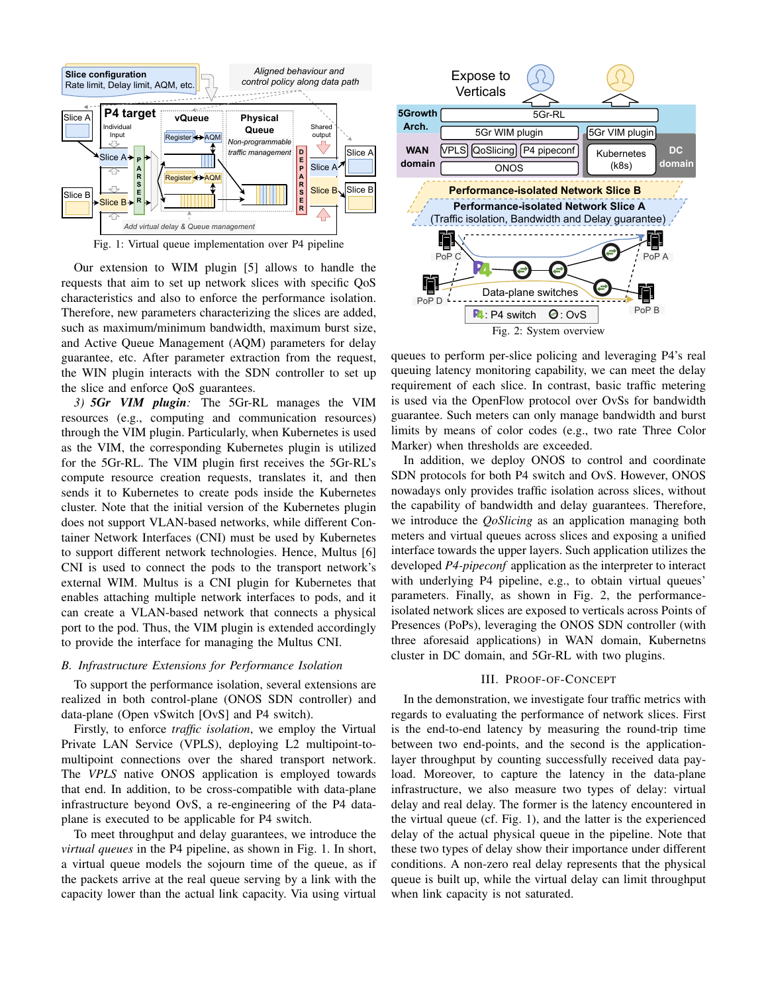

Our extension to WIM plugin [5] allows to handle the requests that aim to set up network slices with specific QoS characteristics and also to enforce the performance isolation. Therefore, new parameters characterizing the slices are added, such as maximum/minimum bandwidth, maximum burst size, and Active Queue Management (AQM) parameters for delay guarantee, etc. After parameter extraction from the request, the WIN plugin interacts with the SDN controller to set up the slice and enforce QoS guarantees.

*3) 5Gr VIM plugin:* The 5Gr-RL manages the VIM resources (e.g., computing and communication resources) through the VIM plugin. Particularly, when Kubernetes is used as the VIM, the corresponding Kubernetes plugin is utilized for the 5Gr-RL. The VIM plugin first receives the 5Gr-RL's compute resource creation requests, translates it, and then sends it to Kubernetes to create pods inside the Kubernetes cluster. Note that the initial version of the Kubernetes plugin does not support VLAN-based networks, while different Container Network Interfaces (CNI) must be used by Kubernetes to support different network technologies. Hence, Multus [6] CNI is used to connect the pods to the transport network's external WIM. Multus is a CNI plugin for Kubernetes that enables attaching multiple network interfaces to pods, and it can create a VLAN-based network that connects a physical port to the pod. Thus, the VIM plugin is extended accordingly to provide the interface for managing the Multus CNI.

## *B. Infrastructure Extensions for Performance Isolation*

To support the performance isolation, several extensions are realized in both control-plane (ONOS SDN controller) and data-plane (Open vSwitch [OvS] and P4 switch).

Firstly, to enforce *traffic isolation*, we employ the Virtual Private LAN Service (VPLS), deploying L2 multipoint-tomultipoint connections over the shared transport network. The *VPLS* native ONOS application is employed towards that end. In addition, to be cross-compatible with data-plane infrastructure beyond OvS, a re-engineering of the P4 dataplane is executed to be applicable for P4 switch.

To meet throughput and delay guarantees, we introduce the *virtual queues* in the P4 pipeline, as shown in Fig. 1. In short, a virtual queue models the sojourn time of the queue, as if the packets arrive at the real queue serving by a link with the capacity lower than the actual link capacity. Via using virtual



Fig. 2: System overview

queues to perform per-slice policing and leveraging P4's real queuing latency monitoring capability, we can meet the delay requirement of each slice. In contrast, basic traffic metering is used via the OpenFlow protocol over OvSs for bandwidth guarantee. Such meters can only manage bandwidth and burst limits by means of color codes (e.g., two rate Three Color Marker) when thresholds are exceeded.

In addition, we deploy ONOS to control and coordinate SDN protocols for both P4 switch and OvS. However, ONOS nowadays only provides traffic isolation across slices, without the capability of bandwidth and delay guarantees. Therefore, we introduce the *QoSlicing* as an application managing both meters and virtual queues across slices and exposing a unified interface towards the upper layers. Such application utilizes the developed *P4-pipeconf* application as the interpreter to interact with underlying P4 pipeline, e.g., to obtain virtual queues' parameters. Finally, as shown in Fig. 2, the performanceisolated network slices are exposed to verticals across Points of Presences (PoPs), leveraging the ONOS SDN controller (with three aforesaid applications) in WAN domain, Kubernetns cluster in DC domain, and 5Gr-RL with two plugins.

## III. PROOF-OF-CONCEPT

In the demonstration, we investigate four traffic metrics with regards to evaluating the performance of network slices. First is the end-to-end latency by measuring the round-trip time between two end-points, and the second is the applicationlayer throughput by counting successfully received data payload. Moreover, to capture the latency in the data-plane infrastructure, we also measure two types of delay: virtual delay and real delay. The former is the latency encountered in the virtual queue (cf. Fig. 1), and the latter is the experienced delay of the actual physical queue in the pipeline. Note that these two types of delay show their importance under different conditions. A non-zero real delay represents that the physical queue is built up, while the virtual delay can limit throughput when link capacity is not saturated.